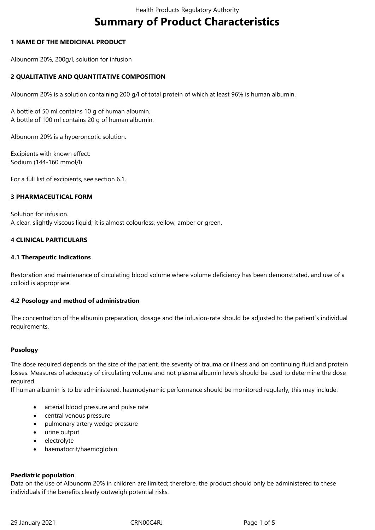# **Summary of Product Characteristics**

### **1 NAME OF THE MEDICINAL PRODUCT**

Albunorm 20%, 200g/l, solution for infusion

## **2 QUALITATIVE AND QUANTITATIVE COMPOSITION**

Albunorm 20% is a solution containing 200 g/l of total protein of which at least 96% is human albumin.

A bottle of 50 ml contains 10 g of human albumin. A bottle of 100 ml contains 20 g of human albumin.

Albunorm 20% is a hyperoncotic solution.

Excipients with known effect: Sodium (144-160 mmol/l)

For a full list of excipients, see section 6.1.

#### **3 PHARMACEUTICAL FORM**

Solution for infusion. A clear, slightly viscous liquid; it is almost colourless, yellow, amber or green.

#### **4 CLINICAL PARTICULARS**

#### **4.1 Therapeutic Indications**

Restoration and maintenance of circulating blood volume where volume deficiency has been demonstrated, and use of a colloid is appropriate.

#### **4.2 Posology and method of administration**

The concentration of the albumin preparation, dosage and the infusion-rate should be adjusted to the patient´s individual requirements.

#### **Posology**

The dose required depends on the size of the patient, the severity of trauma or illness and on continuing fluid and protein losses. Measures of adequacy of circulating volume and not plasma albumin levels should be used to determine the dose required.

If human albumin is to be administered, haemodynamic performance should be monitored regularly; this may include:

- arterial blood pressure and pulse rate
- central venous pressure
- pulmonary artery wedge pressure
- urine output
- electrolyte
- haematocrit/haemoglobin

#### **Paediatric population**

Data on the use of Albunorm 20% in children are limited; therefore, the product should only be administered to these individuals if the benefits clearly outweigh potential risks.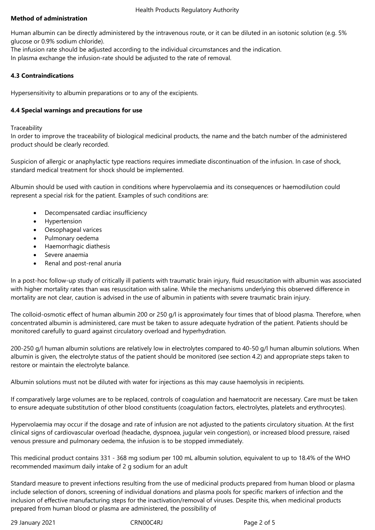## **Method of administration**

Human albumin can be directly administered by the intravenous route, or it can be diluted in an isotonic solution (e.g. 5% glucose or 0.9% sodium chloride).

The infusion rate should be adjusted according to the individual circumstances and the indication. In plasma exchange the infusion-rate should be adjusted to the rate of removal.

## **4.3 Contraindications**

Hypersensitivity to albumin preparations or to any of the excipients.

## **4.4 Special warnings and precautions for use**

#### **Traceability**

In order to improve the traceability of biological medicinal products, the name and the batch number of the administered product should be clearly recorded.

Suspicion of allergic or anaphylactic type reactions requires immediate discontinuation of the infusion. In case of shock, standard medical treatment for shock should be implemented.

Albumin should be used with caution in conditions where hypervolaemia and its consequences or haemodilution could represent a special risk for the patient. Examples of such conditions are:

- Decompensated cardiac insufficiency
- Hypertension
- Oesophageal varices
- Pulmonary oedema
- Haemorrhagic diathesis
- Severe anaemia
- Renal and post-renal anuria

In a post-hoc follow-up study of critically ill patients with traumatic brain injury, fluid resuscitation with albumin was associated with higher mortality rates than was resuscitation with saline. While the mechanisms underlying this observed difference in mortality are not clear, caution is advised in the use of albumin in patients with severe traumatic brain injury.

The colloid-osmotic effect of human albumin 200 or 250 g/l is approximately four times that of blood plasma. Therefore, when concentrated albumin is administered, care must be taken to assure adequate hydration of the patient. Patients should be monitored carefully to guard against circulatory overload and hyperhydration.

200-250 g/l human albumin solutions are relatively low in electrolytes compared to 40-50 g/l human albumin solutions. When albumin is given, the electrolyte status of the patient should be monitored (see section 4.2) and appropriate steps taken to restore or maintain the electrolyte balance.

Albumin solutions must not be diluted with water for injections as this may cause haemolysis in recipients.

If comparatively large volumes are to be replaced, controls of coagulation and haematocrit are necessary. Care must be taken to ensure adequate substitution of other blood constituents (coagulation factors, electrolytes, platelets and erythrocytes).

Hypervolaemia may occur if the dosage and rate of infusion are not adjusted to the patients circulatory situation. At the first clinical signs of cardiovascular overload (headache, dyspnoea, jugular vein congestion), or increased blood pressure, raised venous pressure and pulmonary oedema, the infusion is to be stopped immediately.

This medicinal product contains 331 - 368 mg sodium per 100 mL albumin solution, equivalent to up to 18.4% of the WHO recommended maximum daily intake of 2 g sodium for an adult

Standard measure to prevent infections resulting from the use of medicinal products prepared from human blood or plasma include selection of donors, screening of individual donations and plasma pools for specific markers of infection and the inclusion of effective manufacturing steps for the inactivation/removal of viruses. Despite this, when medicinal products prepared from human blood or plasma are administered, the possibility of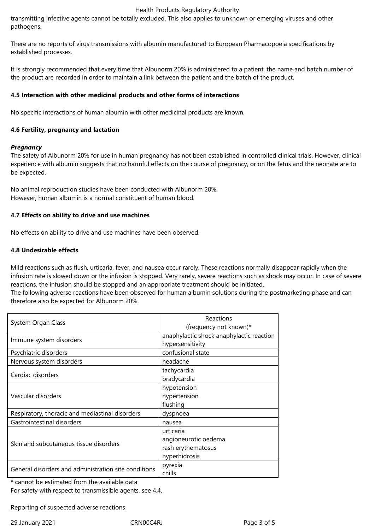#### Health Products Regulatory Authority

transmitting infective agents cannot be totally excluded. This also applies to unknown or emerging viruses and other pathogens.

There are no reports of virus transmissions with albumin manufactured to European Pharmacopoeia specifications by established processes.

It is strongly recommended that every time that Albunorm 20% is administered to a patient, the name and batch number of the product are recorded in order to maintain a link between the patient and the batch of the product.

#### **4.5 Interaction with other medicinal products and other forms of interactions**

No specific interactions of human albumin with other medicinal products are known.

## **4.6 Fertility, pregnancy and lactation**

## *Pregnancy*

The safety of Albunorm 20% for use in human pregnancy has not been established in controlled clinical trials. However, clinical experience with albumin suggests that no harmful effects on the course of pregnancy, or on the fetus and the neonate are to be expected.

No animal reproduction studies have been conducted with Albunorm 20%. However, human albumin is a normal constituent of human blood.

#### **4.7 Effects on ability to drive and use machines**

No effects on ability to drive and use machines have been observed.

#### **4.8 Undesirable effects**

Mild reactions such as flush, urticaria, fever, and nausea occur rarely. These reactions normally disappear rapidly when the infusion rate is slowed down or the infusion is stopped. Very rarely, severe reactions such as shock may occur. In case of severe reactions, the infusion should be stopped and an appropriate treatment should be initiated.

The following adverse reactions have been observed for human albumin solutions during the postmarketing phase and can therefore also be expected for Albunorm 20%.

| System Organ Class                                   | Reactions                                |
|------------------------------------------------------|------------------------------------------|
|                                                      | (frequency not known)*                   |
| Immune system disorders                              | anaphylactic shock anaphylactic reaction |
|                                                      | hypersensitivity                         |
| Psychiatric disorders                                | confusional state                        |
| Nervous system disorders                             | headache                                 |
| Cardiac disorders                                    | tachycardia                              |
|                                                      | bradycardia                              |
| Vascular disorders                                   | hypotension                              |
|                                                      | hypertension                             |
|                                                      | flushing                                 |
| Respiratory, thoracic and mediastinal disorders      | dyspnoea                                 |
| Gastrointestinal disorders                           | nausea                                   |
| Skin and subcutaneous tissue disorders               | urticaria                                |
|                                                      | angioneurotic oedema                     |
|                                                      | rash erythematosus                       |
|                                                      | hyperhidrosis                            |
| General disorders and administration site conditions | pyrexia                                  |
|                                                      | chills                                   |

\* cannot be estimated from the available data

For safety with respect to transmissible agents, see 4.4.

Reporting of suspected adverse reactions

29 January 2021 CRN00C4RJ Page 3 of 5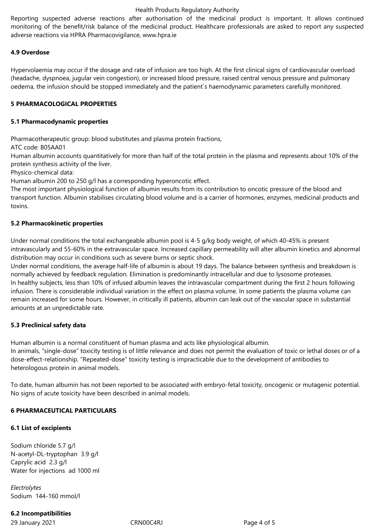#### Health Products Regulatory Authority

Reporting suspected adverse reactions after authorisation of the medicinal product is important. It allows continued monitoring of the benefit/risk balance of the medicinal product. Healthcare professionals are asked to report any suspected adverse reactions via HPRA Pharmacovigilance, www.hpra.ie

## **4.9 Overdose**

Hypervolaemia may occur if the dosage and rate of infusion are too high. At the first clinical signs of cardiovascular overload (headache, dyspnoea, jugular vein congestion), or increased blood pressure, raised central venous pressure and pulmonary oedema, the infusion should be stopped immediately and the patient´s haemodynamic parameters carefully monitored.

## **5 PHARMACOLOGICAL PROPERTIES**

#### **5.1 Pharmacodynamic properties**

Pharmacotherapeutic group: blood substitutes and plasma protein fractions,

ATC code: B05AA01

Human albumin accounts quantitatively for more than half of the total protein in the plasma and represents about 10% of the protein synthesis activity of the liver.

Physico-chemical data:

Human albumin 200 to 250 g/l has a corresponding hyperoncotic effect.

The most important physiological function of albumin results from its contribution to oncotic pressure of the blood and transport function. Albumin stabilises circulating blood volume and is a carrier of hormones, enzymes, medicinal products and toxins.

## **5.2 Pharmacokinetic properties**

Under normal conditions the total exchangeable albumin pool is 4-5 g/kg body weight, of which 40-45% is present intravascularly and 55-60% in the extravascular space. Increased capillary permeability will alter albumin kinetics and abnormal distribution may occur in conditions such as severe burns or septic shock.

Under normal conditions, the average half-life of albumin is about 19 days. The balance between synthesis and breakdown is normally achieved by feedback regulation. Elimination is predominantly intracellular and due to lysosome proteases. In healthy subjects, less than 10% of infused albumin leaves the intravascular compartment during the first 2 hours following infusion. There is considerable individual variation in the effect on plasma volume. In some patients the plasma volume can remain increased for some hours. However, in critically ill patients, albumin can leak out of the vascular space in substantial amounts at an unpredictable rate.

## **5.3 Preclinical safety data**

Human albumin is a normal constituent of human plasma and acts like physiological albumin.

In animals, "single-dose" toxicity testing is of little relevance and does not permit the evaluation of toxic or lethal doses or of a dose-effect-relationship. "Repeated-dose" toxicity testing is impracticable due to the development of antibodies to heterologous protein in animal models.

To date, human albumin has not been reported to be associated with embryo-fetal toxicity, oncogenic or mutagenic potential. No signs of acute toxicity have been described in animal models.

## **6 PHARMACEUTICAL PARTICULARS**

## **6.1 List of excipients**

Sodium chloride 5.7 g/l N-acetyl-DL-tryptophan 3.9 g/l Caprylic acid 2.3 g/l Water for injections ad 1000 ml

*Electrolytes* Sodium 144-160 mmol/l

## **6.2 Incompatibilities**

29 January 2021 CRN00C4RJ Page 4 of 5